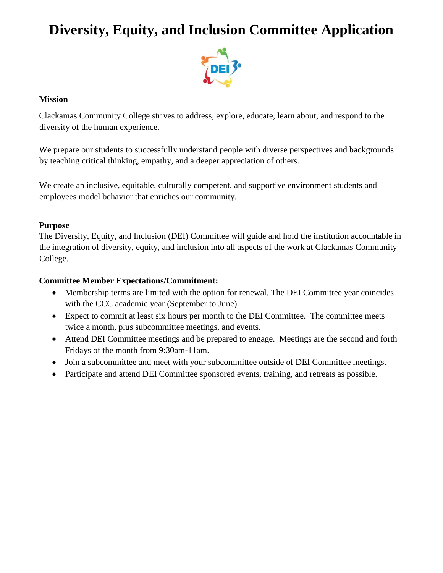# **Diversity, Equity, and Inclusion Committee Application**



#### **Mission**

Clackamas Community College strives to address, explore, educate, learn about, and respond to the diversity of the human experience.

We prepare our students to successfully understand people with diverse perspectives and backgrounds by teaching critical thinking, empathy, and a deeper appreciation of others.

We create an inclusive, equitable, culturally competent, and supportive environment students and employees model behavior that enriches our community.

### **Purpose**

The Diversity, Equity, and Inclusion (DEI) Committee will guide and hold the institution accountable in the integration of diversity, equity, and inclusion into all aspects of the work at Clackamas Community College.

### **Committee Member Expectations/Commitment:**

- Membership terms are limited with the option for renewal. The DEI Committee year coincides with the CCC academic year (September to June).
- Expect to commit at least six hours per month to the DEI Committee. The committee meets twice a month, plus subcommittee meetings, and events.
- Attend DEI Committee meetings and be prepared to engage. Meetings are the second and forth Fridays of the month from 9:30am-11am.
- Join a subcommittee and meet with your subcommittee outside of DEI Committee meetings.
- Participate and attend DEI Committee sponsored events, training, and retreats as possible.